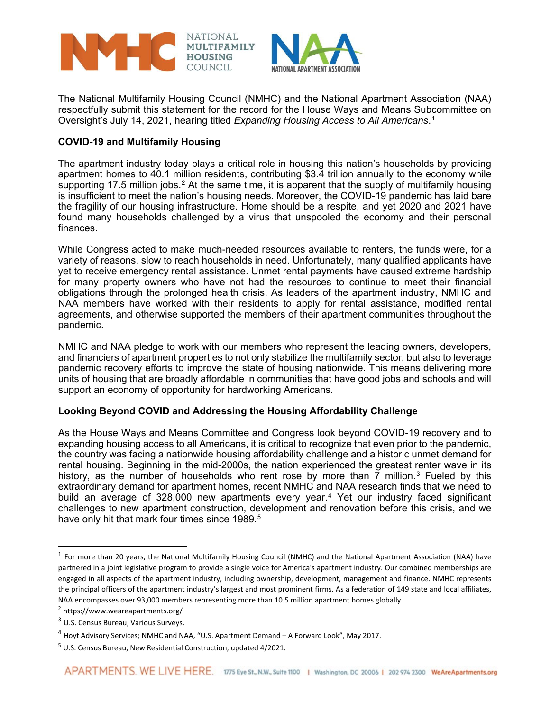

The National Multifamily Housing Council (NMHC) and the National Apartment Association (NAA) respectfully submit this statement for the record for the House Ways and Means Subcommittee on Oversight's July 14, 2021, hearing titled *Expanding Housing Access to All Americans*.[1](#page-0-0)

### **COVID-19 and Multifamily Housing**

The apartment industry today plays a critical role in housing this nation's households by providing apartment homes to 40.1 million residents, contributing \$3.4 trillion annually to the economy while supporting 17.5 million jobs.<sup>[2](#page-0-1)</sup> At the same time, it is apparent that the supply of multifamily housing is insufficient to meet the nation's housing needs. Moreover, the COVID-19 pandemic has laid bare the fragility of our housing infrastructure. Home should be a respite, and yet 2020 and 2021 have found many households challenged by a virus that unspooled the economy and their personal finances.

While Congress acted to make much-needed resources available to renters, the funds were, for a variety of reasons, slow to reach households in need. Unfortunately, many qualified applicants have yet to receive emergency rental assistance. Unmet rental payments have caused extreme hardship for many property owners who have not had the resources to continue to meet their financial obligations through the prolonged health crisis. As leaders of the apartment industry, NMHC and NAA members have worked with their residents to apply for rental assistance, modified rental agreements, and otherwise supported the members of their apartment communities throughout the pandemic.

NMHC and NAA pledge to work with our members who represent the leading owners, developers, and financiers of apartment properties to not only stabilize the multifamily sector, but also to leverage pandemic recovery efforts to improve the state of housing nationwide. This means delivering more units of housing that are broadly affordable in communities that have good jobs and schools and will support an economy of opportunity for hardworking Americans.

## **Looking Beyond COVID and Addressing the Housing Affordability Challenge**

As the House Ways and Means Committee and Congress look beyond COVID-19 recovery and to expanding housing access to all Americans, it is critical to recognize that even prior to the pandemic, the country was facing a nationwide housing affordability challenge and a historic unmet demand for rental housing. Beginning in the mid-2000s, the nation experienced the greatest renter wave in its history, as the number of households who rent rose by more than  $\bar{7}$  million.<sup>[3](#page-0-2)</sup> Fueled by this extraordinary demand for apartment homes, recent NMHC and NAA research finds that we need to build an average of 328,000 new apartments every year.<sup>[4](#page-0-3)</sup> Yet our industry faced significant challenges to new apartment construction, development and renovation before this crisis, and we have only hit that mark four times since 1989.<sup>[5](#page-0-4)</sup>

<span id="page-0-0"></span> $1$  For more than 20 years, the National Multifamily Housing Council (NMHC) and the National Apartment Association (NAA) have partnered in a joint legislative program to provide a single voice for America's apartment industry. Our combined memberships are engaged in all aspects of the apartment industry, including ownership, development, management and finance. NMHC represents the principal officers of the apartment industry's largest and most prominent firms. As a federation of 149 state and local affiliates, NAA encompasses over 93,000 members representing more than 10.5 million apartment homes globally.

<span id="page-0-1"></span><sup>&</sup>lt;sup>2</sup> https://www.weareapartments.org/

<span id="page-0-2"></span><sup>3</sup> U.S. Census Bureau, Various Surveys.

<span id="page-0-3"></span><sup>&</sup>lt;sup>4</sup> Hoyt Advisory Services; NMHC and NAA, "U.S. Apartment Demand - A Forward Look", May 2017.

<span id="page-0-4"></span> $5$  U.S. Census Bureau, New Residential Construction, updated 4/2021.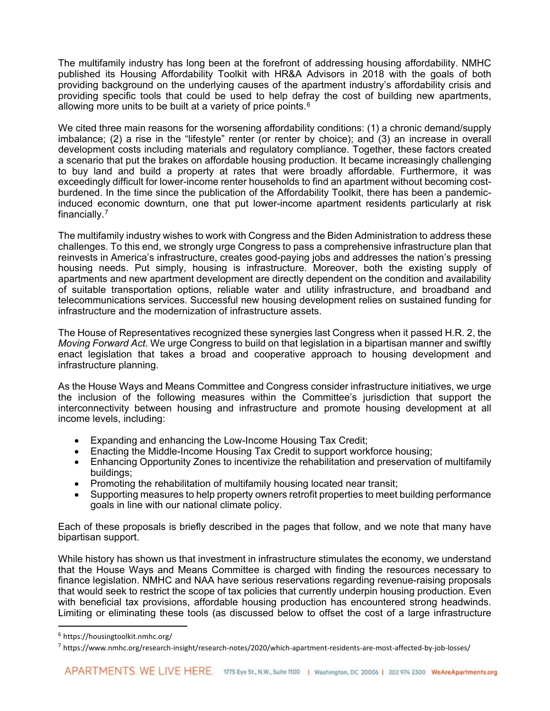The multifamily industry has long been at the forefront of addressing housing affordability. NMHC published its [Housing Affordability Toolkit](https://housingtoolkit.nmhc.org/) with HR&A Advisors in 2018 with the goals of both providing background on the underlying causes of the apartment industry's affordability crisis and providing specific tools that could be used to help defray the cost of building new apartments, allowing more units to be built at a variety of price points. $6$ 

We cited three main reasons for the worsening affordability conditions: (1) a chronic demand/supply imbalance; (2) a rise in the "lifestyle" renter (or renter by choice); and (3) an increase in overall development costs including materials and regulatory compliance. Together, these factors created a scenario that put the brakes on affordable housing production. It became increasingly challenging to buy land and build a property at rates that were broadly affordable. Furthermore, it was exceedingly difficult for lower-income renter households to find an apartment without becoming costburdened. In the time since the publication of the Affordability Toolkit, there has been a pandemicinduced economic downturn, one that [put lower-income apartment residents particularly at risk](https://www.nmhc.org/research-insight/research-notes/2020/which-apartment-residents-are-most-affected-by-job-losses/)  [financially.](https://www.nmhc.org/research-insight/research-notes/2020/which-apartment-residents-are-most-affected-by-job-losses/) [7](#page-1-1)

The multifamily industry wishes to work with Congress and the Biden Administration to address these challenges. To this end, we strongly urge Congress to pass a comprehensive infrastructure plan that reinvests in America's infrastructure, creates good-paying jobs and addresses the nation's pressing housing needs. Put simply, housing is infrastructure. Moreover, both the existing supply of apartments and new apartment development are directly dependent on the condition and availability of suitable transportation options, reliable water and utility infrastructure, and broadband and telecommunications services. Successful new housing development relies on sustained funding for infrastructure and the modernization of infrastructure assets.

The House of Representatives recognized these synergies last Congress when it passed H.R. 2, the *Moving Forward Act*. We urge Congress to build on that legislation in a bipartisan manner and swiftly enact legislation that takes a broad and cooperative approach to housing development and infrastructure planning.

As the House Ways and Means Committee and Congress consider infrastructure initiatives, we urge the inclusion of the following measures within the Committee's jurisdiction that support the interconnectivity between housing and infrastructure and promote housing development at all income levels, including:

- Expanding and enhancing the Low-Income Housing Tax Credit;
- Enacting the Middle-Income Housing Tax Credit to support workforce housing;
- Enhancing Opportunity Zones to incentivize the rehabilitation and preservation of multifamily buildings;
- Promoting the rehabilitation of multifamily housing located near transit;
- Supporting measures to help property owners retrofit properties to meet building performance goals in line with our national climate policy.

Each of these proposals is briefly described in the pages that follow, and we note that many have bipartisan support.

While history has shown us that investment in infrastructure stimulates the economy, we understand that the House Ways and Means Committee is charged with finding the resources necessary to finance legislation. NMHC and NAA have serious reservations regarding revenue-raising proposals that would seek to restrict the scope of tax policies that currently underpin housing production. Even with beneficial tax provisions, affordable housing production has encountered strong headwinds. Limiting or eliminating these tools (as discussed below to offset the cost of a large infrastructure

<span id="page-1-0"></span><sup>6</sup> https://housingtoolkit.nmhc.org/

<span id="page-1-1"></span><sup>7</sup> https://www.nmhc.org/research-insight/research-notes/2020/which-apartment-residents-are-most-affected-by-job-losses/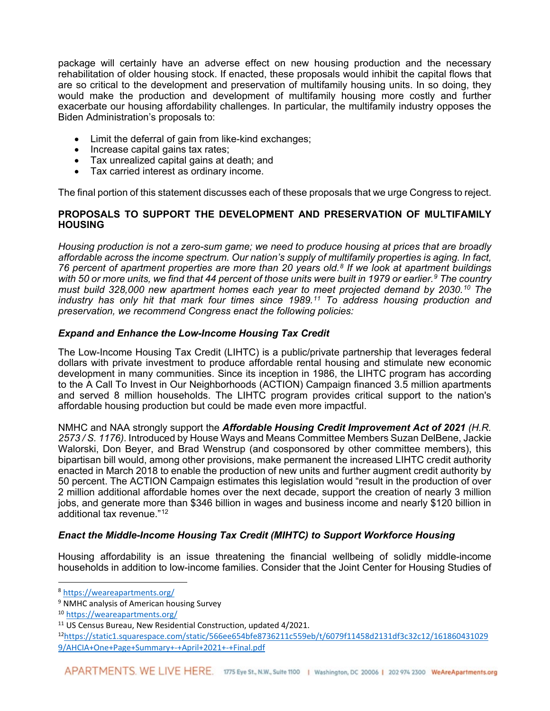package will certainly have an adverse effect on new housing production and the necessary rehabilitation of older housing stock. If enacted, these proposals would inhibit the capital flows that are so critical to the development and preservation of multifamily housing units. In so doing, they would make the production and development of multifamily housing more costly and further exacerbate our housing affordability challenges. In particular, the multifamily industry opposes the Biden Administration's proposals to:

- Limit the deferral of gain from like-kind exchanges;
- Increase capital gains tax rates:
- Tax unrealized capital gains at death; and
- Tax carried interest as ordinary income.

The final portion of this statement discusses each of these proposals that we urge Congress to reject.

### **PROPOSALS TO SUPPORT THE DEVELOPMENT AND PRESERVATION OF MULTIFAMILY HOUSING**

*Housing production is not a zero-sum game; we need to produce housing at prices that are broadly affordable across the income spectrum. Our nation's supply of multifamily properties is aging. In fact, 76 percent of apartment properties are more than 20 years old.[8](#page-2-0) If we look at apartment buildings with 50 or more units, we find that 44 percent of those units were built in 1979 or earlier.[9](#page-2-1) The country must build 328,000 new apartment homes each year to meet projected demand by 2030.[10](#page-2-2) The industry has only hit that mark four times since 1989.[11](#page-2-3) To address housing production and preservation, we recommend Congress enact the following policies:*

## *Expand and Enhance the Low-Income Housing Tax Credit*

The Low-Income Housing Tax Credit (LIHTC) is a public/private partnership that leverages federal dollars with private investment to produce affordable rental housing and stimulate new economic development in many communities. Since its inception in 1986, the LIHTC program has according to the A Call To Invest in Our Neighborhoods (ACTION) Campaign financed 3.5 million apartments and served 8 million households. The LIHTC program provides critical support to the nation's affordable housing production but could be made even more impactful.

NMHC and NAA strongly support the *Affordable Housing Credit Improvement Act of 2021 (H.R. 2573 / S. 1176)*. Introduced by House Ways and Means Committee Members Suzan DelBene, Jackie Walorski, Don Beyer, and Brad Wenstrup (and cosponsored by other committee members), this bipartisan bill would, among other provisions, make permanent the increased LIHTC credit authority enacted in March 2018 to enable the production of new units and further augment credit authority by 50 percent. The ACTION Campaign estimates this legislation would "result in the production of over 2 million additional affordable homes over the next decade, support the creation of nearly 3 million jobs, and generate more than \$346 billion in wages and business income and nearly \$120 billion in additional tax revenue."<sup>[12](#page-2-4)</sup>

## *Enact the Middle-Income Housing Tax Credit (MIHTC) to Support Workforce Housing*

Housing affordability is an issue threatening the financial wellbeing of solidly middle-income households in addition to low-income families. Consider that the Joint Center for Housing Studies of

<span id="page-2-0"></span><sup>8</sup> <https://weareapartments.org/>

<span id="page-2-1"></span><sup>&</sup>lt;sup>9</sup> NMHC analysis of American housing Survey

<span id="page-2-2"></span><sup>10</sup> <https://weareapartments.org/>

<span id="page-2-3"></span><sup>11</sup> US Census Bureau, New Residential Construction, updated 4/2021.

<span id="page-2-4"></span><sup>1</sup>[2https://static1.squarespace.com/static/566ee654bfe8736211c559eb/t/6079f11458d2131df3c32c12/161860431029](https://static1.squarespace.com/static/566ee654bfe8736211c559eb/t/6079f11458d2131df3c32c12/1618604310299/AHCIA+One+Page+Summary+-+April+2021+-+Final.pdf) [9/AHCIA+One+Page+Summary+-+April+2021+-+Final.pdf](https://static1.squarespace.com/static/566ee654bfe8736211c559eb/t/6079f11458d2131df3c32c12/1618604310299/AHCIA+One+Page+Summary+-+April+2021+-+Final.pdf)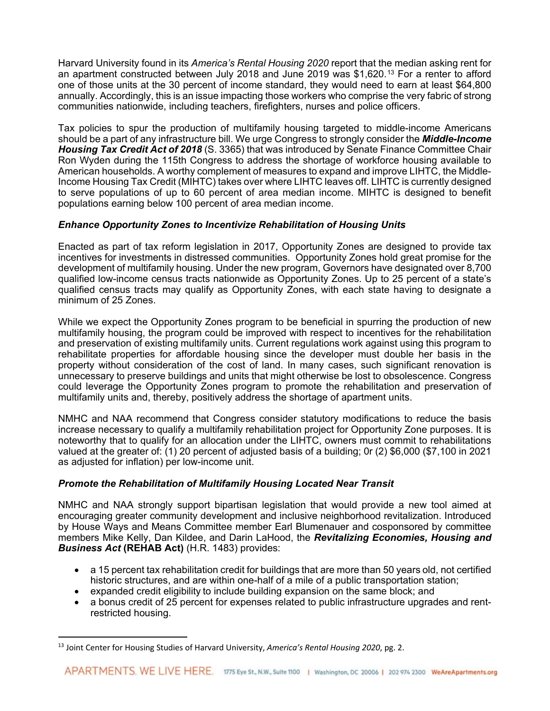Harvard University found in its *America's Rental Housing 2020* report that the median asking rent for an apartment constructed between July 2018 and June 2019 was \$1,620.[13](#page-3-0) For a renter to afford one of those units at the 30 percent of income standard, they would need to earn at least \$64,800 annually. Accordingly, this is an issue impacting those workers who comprise the very fabric of strong communities nationwide, including teachers, firefighters, nurses and police officers.

Tax policies to spur the production of multifamily housing targeted to middle-income Americans should be a part of any infrastructure bill. We urge Congress to strongly consider the *Middle-Income Housing Tax Credit Act of 2018* (S. 3365) that was introduced by Senate Finance Committee Chair Ron Wyden during the 115th Congress to address the shortage of workforce housing available to American households. A worthy complement of measures to expand and improve LIHTC, the Middle-Income Housing Tax Credit (MIHTC) takes over where LIHTC leaves off. LIHTC is currently designed to serve populations of up to 60 percent of area median income. MIHTC is designed to benefit populations earning below 100 percent of area median income.

# *Enhance Opportunity Zones to Incentivize Rehabilitation of Housing Units*

Enacted as part of tax reform legislation in 2017, Opportunity Zones are designed to provide tax incentives for investments in distressed communities. Opportunity Zones hold great promise for the development of multifamily housing. Under the new program, Governors have designated over 8,700 qualified low-income census tracts nationwide as Opportunity Zones. Up to 25 percent of a state's qualified census tracts may qualify as Opportunity Zones, with each state having to designate a minimum of 25 Zones.

While we expect the Opportunity Zones program to be beneficial in spurring the production of new multifamily housing, the program could be improved with respect to incentives for the rehabilitation and preservation of existing multifamily units. Current regulations work against using this program to rehabilitate properties for affordable housing since the developer must double her basis in the property without consideration of the cost of land. In many cases, such significant renovation is unnecessary to preserve buildings and units that might otherwise be lost to obsolescence. Congress could leverage the Opportunity Zones program to promote the rehabilitation and preservation of multifamily units and, thereby, positively address the shortage of apartment units.

NMHC and NAA recommend that Congress consider statutory modifications to reduce the basis increase necessary to qualify a multifamily rehabilitation project for Opportunity Zone purposes. It is noteworthy that to qualify for an allocation under the LIHTC, owners must commit to rehabilitations valued at the greater of: (1) 20 percent of adjusted basis of a building; 0r (2) \$6,000 (\$7,100 in 2021 as adjusted for inflation) per low-income unit.

## *Promote the Rehabilitation of Multifamily Housing Located Near Transit*

NMHC and NAA strongly support bipartisan legislation that would provide a new tool aimed at encouraging greater community development and inclusive neighborhood revitalization. Introduced by House Ways and Means Committee member Earl Blumenauer and cosponsored by committee members Mike Kelly, Dan Kildee, and Darin LaHood, the *Revitalizing Economies, Housing and Business Act* **(REHAB Act)** (H.R. 1483) provides:

- a 15 percent tax rehabilitation credit for buildings that are more than 50 years old, not certified historic structures, and are within one-half of a mile of a public transportation station;
- expanded credit eligibility to include building expansion on the same block; and
- a bonus credit of 25 percent for expenses related to public infrastructure upgrades and rentrestricted housing.

<span id="page-3-0"></span><sup>13</sup> Joint Center for Housing Studies of Harvard University, *America's Rental Housing 2020*, pg. 2.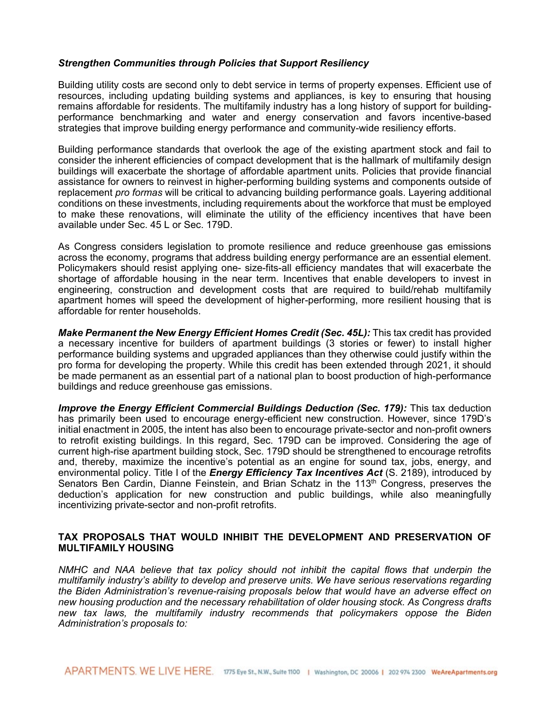#### *Strengthen Communities through Policies that Support Resiliency*

Building utility costs are second only to debt service in terms of property expenses. Efficient use of resources, including updating building systems and appliances, is key to ensuring that housing remains affordable for residents. The multifamily industry has a long history of support for buildingperformance benchmarking and water and energy conservation and favors incentive-based strategies that improve building energy performance and community-wide resiliency efforts.

Building performance standards that overlook the age of the existing apartment stock and fail to consider the inherent efficiencies of compact development that is the hallmark of multifamily design buildings will exacerbate the shortage of affordable apartment units. Policies that provide financial assistance for owners to reinvest in higher-performing building systems and components outside of replacement *pro formas* will be critical to advancing building performance goals. Layering additional conditions on these investments, including requirements about the workforce that must be employed to make these renovations, will eliminate the utility of the efficiency incentives that have been available under Sec. 45 L or Sec. 179D.

As Congress considers legislation to promote resilience and reduce greenhouse gas emissions across the economy, programs that address building energy performance are an essential element. Policymakers should resist applying one- size-fits-all efficiency mandates that will exacerbate the shortage of affordable housing in the near term. Incentives that enable developers to invest in engineering, construction and development costs that are required to build/rehab multifamily apartment homes will speed the development of higher-performing, more resilient housing that is affordable for renter households.

*Make Permanent the New Energy Efficient Homes Credit (Sec. 45L):* This tax credit has provided a necessary incentive for builders of apartment buildings (3 stories or fewer) to install higher performance building systems and upgraded appliances than they otherwise could justify within the pro forma for developing the property. While this credit has been extended through 2021, it should be made permanent as an essential part of a national plan to boost production of high-performance buildings and reduce greenhouse gas emissions.

*Improve the Energy Efficient Commercial Buildings Deduction (Sec. 179):* This tax deduction has primarily been used to encourage energy-efficient new construction. However, since 179D's initial enactment in 2005, the intent has also been to encourage private-sector and non-profit owners to retrofit existing buildings. In this regard, Sec. 179D can be improved. Considering the age of current high-rise apartment building stock, Sec. 179D should be strengthened to encourage retrofits and, thereby, maximize the incentive's potential as an engine for sound tax, jobs, energy, and environmental policy. Title I of the *Energy Efficiency Tax Incentives Act* (S. 2189), introduced by Senators Ben Cardin, Dianne Feinstein, and Brian Schatz in the 113<sup>th</sup> Congress, preserves the deduction's application for new construction and public buildings, while also meaningfully incentivizing private-sector and non-profit retrofits.

### **TAX PROPOSALS THAT WOULD INHIBIT THE DEVELOPMENT AND PRESERVATION OF MULTIFAMILY HOUSING**

*NMHC and NAA believe that tax policy should not inhibit the capital flows that underpin the multifamily industry's ability to develop and preserve units. We have serious reservations regarding the Biden Administration's revenue-raising proposals below that would have an adverse effect on new housing production and the necessary rehabilitation of older housing stock. As Congress drafts new tax laws, the multifamily industry recommends that policymakers oppose the Biden Administration's proposals to:*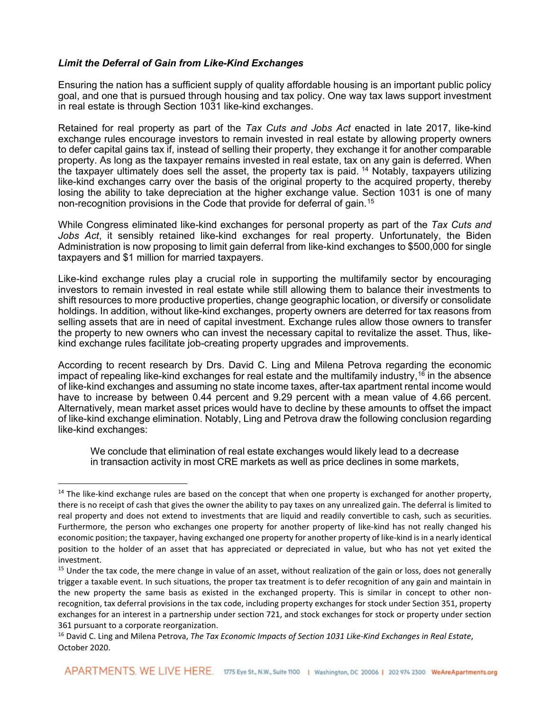#### *Limit the Deferral of Gain from Like-Kind Exchanges*

Ensuring the nation has a sufficient supply of quality affordable housing is an important public policy goal, and one that is pursued through housing and tax policy. One way tax laws support investment in real estate is through Section 1031 like-kind exchanges.

Retained for real property as part of the *Tax Cuts and Jobs Act* enacted in late 2017, like-kind exchange rules encourage investors to remain invested in real estate by allowing property owners to defer capital gains tax if, instead of selling their property, they exchange it for another comparable property. As long as the taxpayer remains invested in real estate, tax on any gain is deferred. When the taxpayer ultimately does sell the asset, the property tax is paid. [14](#page-5-0) Notably, taxpayers utilizing like-kind exchanges carry over the basis of the original property to the acquired property, thereby losing the ability to take depreciation at the higher exchange value. Section 1031 is one of many non-recognition provisions in the Code that provide for deferral of gain.[15](#page-5-1)

While Congress eliminated like-kind exchanges for personal property as part of the *Tax Cuts and Jobs Act*, it sensibly retained like-kind exchanges for real property. Unfortunately, the Biden Administration is now proposing to limit gain deferral from like-kind exchanges to \$500,000 for single taxpayers and \$1 million for married taxpayers.

Like-kind exchange rules play a crucial role in supporting the multifamily sector by encouraging investors to remain invested in real estate while still allowing them to balance their investments to shift resources to more productive properties, change geographic location, or diversify or consolidate holdings. In addition, without like-kind exchanges, property owners are deterred for tax reasons from selling assets that are in need of capital investment. Exchange rules allow those owners to transfer the property to new owners who can invest the necessary capital to revitalize the asset. Thus, likekind exchange rules facilitate job-creating property upgrades and improvements.

According to recent research by Drs. David C. Ling and Milena Petrova regarding the economic impact of repealing like-kind exchanges for real estate and the multifamily industry, [16](#page-5-2) in the absence of like-kind exchanges and assuming no state income taxes, after-tax apartment rental income would have to increase by between 0.44 percent and 9.29 percent with a mean value of 4.66 percent. Alternatively, mean market asset prices would have to decline by these amounts to offset the impact of like-kind exchange elimination. Notably, Ling and Petrova draw the following conclusion regarding like-kind exchanges:

We conclude that elimination of real estate exchanges would likely lead to a decrease in transaction activity in most CRE markets as well as price declines in some markets,

<span id="page-5-0"></span><sup>&</sup>lt;sup>14</sup> The like-kind exchange rules are based on the concept that when one property is exchanged for another property, there is no receipt of cash that gives the owner the ability to pay taxes on any unrealized gain. The deferral is limited to real property and does not extend to investments that are liquid and readily convertible to cash, such as securities. Furthermore, the person who exchanges one property for another property of like-kind has not really changed his economic position; the taxpayer, having exchanged one property for another property of like-kind is in a nearly identical position to the holder of an asset that has appreciated or depreciated in value, but who has not yet exited the investment.

<span id="page-5-1"></span> $15$  Under the tax code, the mere change in value of an asset, without realization of the gain or loss, does not generally trigger a taxable event. In such situations, the proper tax treatment is to defer recognition of any gain and maintain in the new property the same basis as existed in the exchanged property. This is similar in concept to other nonrecognition, tax deferral provisions in the tax code, including property exchanges for stock under Section 351, property exchanges for an interest in a partnership under section 721, and stock exchanges for stock or property under section 361 pursuant to a corporate reorganization.

<span id="page-5-2"></span><sup>16</sup> David C. Ling and Milena Petrova, *The Tax Economic Impacts of Section 1031 Like-Kind Exchanges in Real Estate*, October 2020.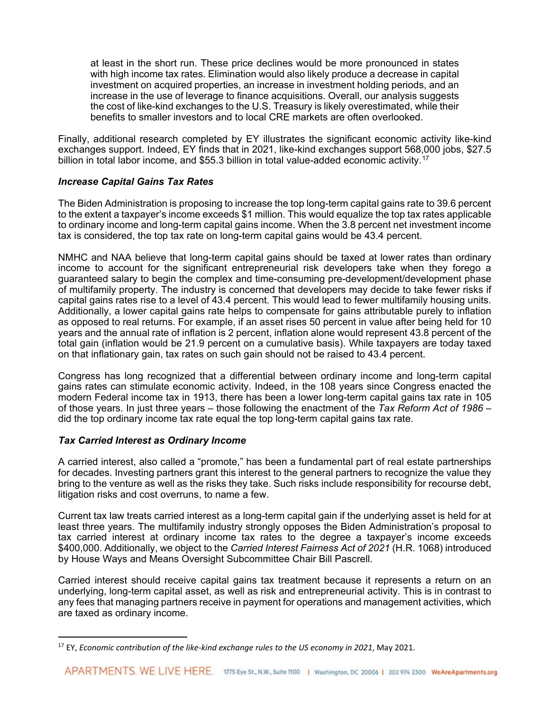at least in the short run. These price declines would be more pronounced in states with high income tax rates. Elimination would also likely produce a decrease in capital investment on acquired properties, an increase in investment holding periods, and an increase in the use of leverage to finance acquisitions. Overall, our analysis suggests the cost of like-kind exchanges to the U.S. Treasury is likely overestimated, while their benefits to smaller investors and to local CRE markets are often overlooked.

Finally, additional research completed by EY illustrates the significant economic activity like-kind exchanges support. Indeed, EY finds that in 2021, like-kind exchanges support 568,000 jobs, \$27.5 billion in total labor income, and \$55.3 billion in total value-added economic activity.<sup>[17](#page-6-0)</sup>

### *Increase Capital Gains Tax Rates*

The Biden Administration is proposing to increase the top long-term capital gains rate to 39.6 percent to the extent a taxpayer's income exceeds \$1 million. This would equalize the top tax rates applicable to ordinary income and long-term capital gains income. When the 3.8 percent net investment income tax is considered, the top tax rate on long-term capital gains would be 43.4 percent.

NMHC and NAA believe that long-term capital gains should be taxed at lower rates than ordinary income to account for the significant entrepreneurial risk developers take when they forego a guaranteed salary to begin the complex and time-consuming pre-development/development phase of multifamily property. The industry is concerned that developers may decide to take fewer risks if capital gains rates rise to a level of 43.4 percent. This would lead to fewer multifamily housing units. Additionally, a lower capital gains rate helps to compensate for gains attributable purely to inflation as opposed to real returns. For example, if an asset rises 50 percent in value after being held for 10 years and the annual rate of inflation is 2 percent, inflation alone would represent 43.8 percent of the total gain (inflation would be 21.9 percent on a cumulative basis). While taxpayers are today taxed on that inflationary gain, tax rates on such gain should not be raised to 43.4 percent.

Congress has long recognized that a differential between ordinary income and long-term capital gains rates can stimulate economic activity. Indeed, in the 108 years since Congress enacted the modern Federal income tax in 1913, there has been a lower long-term capital gains tax rate in 105 of those years. In just three years – those following the enactment of the *Tax Reform Act of 1986* – did the top ordinary income tax rate equal the top long-term capital gains tax rate.

## *Tax Carried Interest as Ordinary Income*

A carried interest, also called a "promote," has been a fundamental part of real estate partnerships for decades. Investing partners grant this interest to the general partners to recognize the value they bring to the venture as well as the risks they take. Such risks include responsibility for recourse debt, litigation risks and cost overruns, to name a few.

Current tax law treats carried interest as a long-term capital gain if the underlying asset is held for at least three years. The multifamily industry strongly opposes the Biden Administration's proposal to tax carried interest at ordinary income tax rates to the degree a taxpayer's income exceeds \$400,000. Additionally, we object to the *Carried Interest Fairness Act of 2021* (H.R. 1068) introduced by House Ways and Means Oversight Subcommittee Chair Bill Pascrell.

Carried interest should receive capital gains tax treatment because it represents a return on an underlying, long-term capital asset, as well as risk and entrepreneurial activity. This is in contrast to any fees that managing partners receive in payment for operations and management activities, which are taxed as ordinary income.

<span id="page-6-0"></span><sup>17</sup> EY, *Economic contribution of the like-kind exchange rules to the US economy in 2021*, May 2021.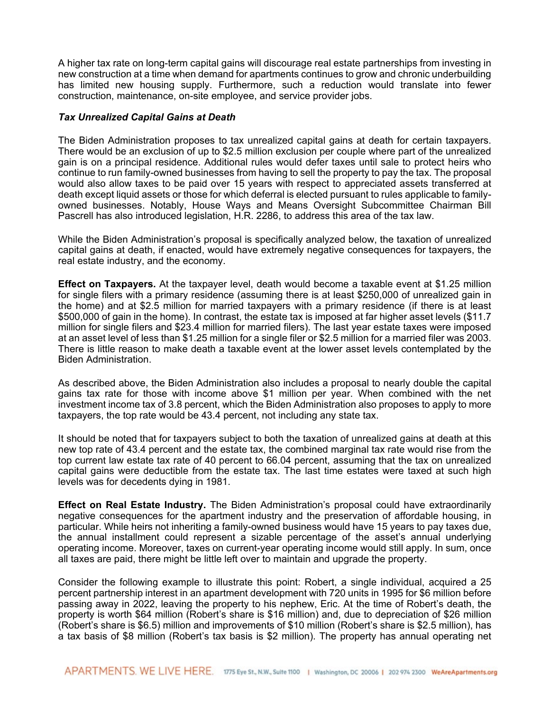A higher tax rate on long-term capital gains will discourage real estate partnerships from investing in new construction at a time when demand for apartments continues to grow and chronic underbuilding has limited new housing supply. Furthermore, such a reduction would translate into fewer construction, maintenance, on-site employee, and service provider jobs.

### *Tax Unrealized Capital Gains at Death*

The Biden Administration proposes to tax unrealized capital gains at death for certain taxpayers. There would be an exclusion of up to \$2.5 million exclusion per couple where part of the unrealized gain is on a principal residence. Additional rules would defer taxes until sale to protect heirs who continue to run family-owned businesses from having to sell the property to pay the tax. The proposal would also allow taxes to be paid over 15 years with respect to appreciated assets transferred at death except liquid assets or those for which deferral is elected pursuant to rules applicable to familyowned businesses. Notably, House Ways and Means Oversight Subcommittee Chairman Bill Pascrell has also introduced legislation, H.R. 2286, to address this area of the tax law.

While the Biden Administration's proposal is specifically analyzed below, the taxation of unrealized capital gains at death, if enacted, would have extremely negative consequences for taxpayers, the real estate industry, and the economy.

**Effect on Taxpayers.** At the taxpayer level, death would become a taxable event at \$1.25 million for single filers with a primary residence (assuming there is at least \$250,000 of unrealized gain in the home) and at \$2.5 million for married taxpayers with a primary residence (if there is at least \$500,000 of gain in the home). In contrast, the estate tax is imposed at far higher asset levels (\$11.7 million for single filers and \$23.4 million for married filers). The last year estate taxes were imposed at an asset level of less than \$1.25 million for a single filer or \$2.5 million for a married filer was 2003. There is little reason to make death a taxable event at the lower asset levels contemplated by the Biden Administration.

As described above, the Biden Administration also includes a proposal to nearly double the capital gains tax rate for those with income above \$1 million per year. When combined with the net investment income tax of 3.8 percent, which the Biden Administration also proposes to apply to more taxpayers, the top rate would be 43.4 percent, not including any state tax.

It should be noted that for taxpayers subject to both the taxation of unrealized gains at death at this new top rate of 43.4 percent and the estate tax, the combined marginal tax rate would rise from the top current law estate tax rate of 40 percent to 66.04 percent, assuming that the tax on unrealized capital gains were deductible from the estate tax. The last time estates were taxed at such high levels was for decedents dying in 1981.

**Effect on Real Estate Industry.** The Biden Administration's proposal could have extraordinarily negative consequences for the apartment industry and the preservation of affordable housing, in particular. While heirs not inheriting a family-owned business would have 15 years to pay taxes due, the annual installment could represent a sizable percentage of the asset's annual underlying operating income. Moreover, taxes on current-year operating income would still apply. In sum, once all taxes are paid, there might be little left over to maintain and upgrade the property.

Consider the following example to illustrate this point: Robert, a single individual, acquired a 25 percent partnership interest in an apartment development with 720 units in 1995 for \$6 million before passing away in 2022, leaving the property to his nephew, Eric. At the time of Robert's death, the property is worth \$64 million (Robert's share is \$16 million) and, due to depreciation of \$26 million (Robert's share is \$6.5) million and improvements of \$10 million (Robert's share is \$2.5 million), has a tax basis of \$8 million (Robert's tax basis is \$2 million). The property has annual operating net